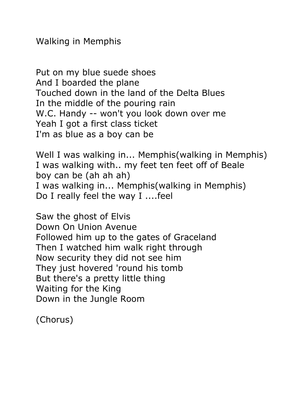Walking in Memphis

Put on my blue suede shoes And I boarded the plane Touched down in the land of the Delta Blues In the middle of the pouring rain W.C. Handy -- won't you look down over me Yeah I got a first class ticket I'm as blue as a boy can be

Well I was walking in... Memphis(walking in Memphis) I was walking with.. my feet ten feet off of Beale boy can be (ah ah ah) I was walking in... Memphis(walking in Memphis) Do I really feel the way I ....feel

Saw the ghost of Elvis Down On Union Avenue Followed him up to the gates of Graceland Then I watched him walk right through Now security they did not see him They just hovered 'round his tomb But there's a pretty little thing Waiting for the King Down in the Jungle Room

(Chorus)